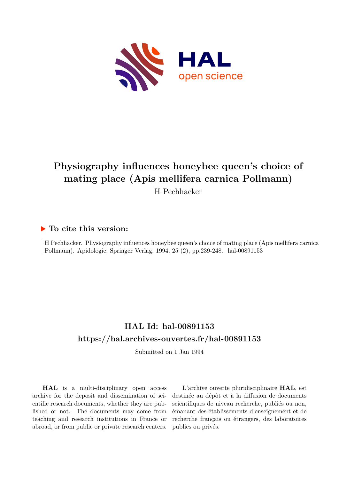

# **Physiography influences honeybee queen's choice of mating place (Apis mellifera carnica Pollmann)** H Pechhacker

## **To cite this version:**

H Pechhacker. Physiography influences honeybee queen's choice of mating place (Apis mellifera carnica Pollmann). Apidologie, Springer Verlag, 1994, 25 (2), pp.239-248. hal-00891153

# **HAL Id: hal-00891153 <https://hal.archives-ouvertes.fr/hal-00891153>**

Submitted on 1 Jan 1994

**HAL** is a multi-disciplinary open access archive for the deposit and dissemination of scientific research documents, whether they are published or not. The documents may come from teaching and research institutions in France or abroad, or from public or private research centers.

L'archive ouverte pluridisciplinaire **HAL**, est destinée au dépôt et à la diffusion de documents scientifiques de niveau recherche, publiés ou non, émanant des établissements d'enseignement et de recherche français ou étrangers, des laboratoires publics ou privés.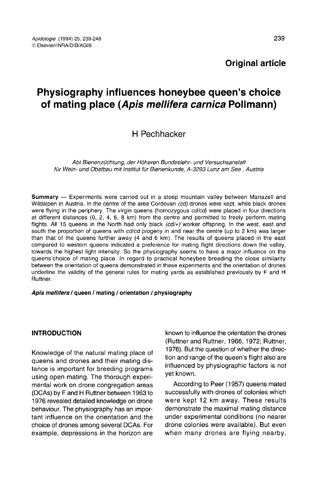# Physiography influences honeybee queen's choice of mating place (Apis mellifera carnica Pollmann)

### H Pechhacker

Abt Bienenzüchtung, der Höheren Bundeslehr- und Versuchsanstalt für Wein- und Obstbau mit Institut für Bienenkunde, A-3293 Lunz am See, Austria

Summary — Experiments were carried out in a steep mountain valley between Mariazell and Wildalpen in Austria. In the centre of the area Cordovan (cd) drones were kept, while black drones were flying in the periphery. The virgin queens (homozygous cd/cd) were placed in four directions at different distances (0, 2, 4, 6, 8 km) from the centre and permitted to freely perform mating flights. All 15 queens in the North had only black (cd/+) worker offspring. In the west, east and south the proportion of queens with  $cd$  od progeny in and near the centre (up to 2 km) was larger than that of the queens further away (4 and 6 km). The results of queens placed in the east compared to western queens indicated a preference for mating flight directions down the valley, towards the highest light intensity. So the physiography seems to have a major influence on the queens'choice of mating place. In regard to practical honeybee breeding the close similarity between the orientation of queens demonstrated in these experiments and the orientation of drones underline the validity of the general rules for mating yards as established previously by F and H Ruttner.

### Apis mellifera / queen / mating / orientation / physiography

### INTRODUCTION

Knowledge of the natural mating place of queens and drones and their mating distance is important for breeding programs using open mating. The thorough experimental work on drone congregation areas (DCAs) by F and H Ruttner between 1963 to 1976 revealed detailed knowledge on drone behaviour. The physiography has an impor tant influence on the orientation and the choice of drones among several DCAs. For example, depressions in the horizon are known to influence the orientation the drones (Ruttner and Ruttner, 1966, 1972; Ruttner, 1976). But the question of whether the direction and range of the queen's flight also are influenced by physiographic factors is not yet known.

According to Peer (1957) queens mated successfully with drones of colonies which were kept 12 km away. These results demonstrate the maximal mating distance under experimental conditions (no nearer drone colonies were available). But even when many drones are flying nearby,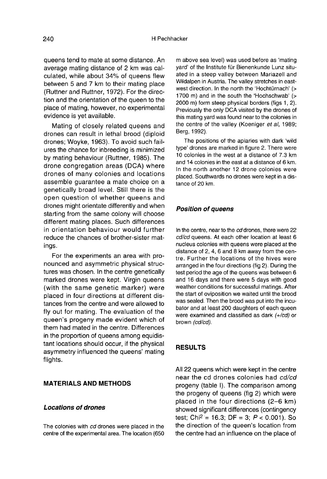queens tend to mate at some distance. An average mating distance of 2 km was calculated, while about 34% of queens flew between 5 and 7 km to their mating place (Ruttner and Ruttner, 1972). For the direction and the orientation of the queen to the place of mating, however, no experimental evidence is yet available.

Mating of closely related queens and drones can result in lethal brood (diploid drones; Woyke, 1963). To avoid such failures the chance for inbreeding is minimized by mating behaviour (Ruttner, 1985). The drone congregation areas (DCA) where drones of many colonies and locations assemble guarantee a mate choice on a genetically broad level. Still there is the open question of whether queens and drones might orientate differently and when starting from the same colony will choose different mating places. Such differences in orientation behaviour would further reduce the chances of brother-sister matings.

For the experiments an area with pronounced and asymmetric physical structures was chosen. In the centre genetically marked drones were kept. Virgin queens (with the same genetic marker) were placed in four directions at different distances from the centre and were allowed to fly out for mating. The evaluation of the queen's progeny made evident which of them had mated in the centre. Differences in the proportion of queens among equidis tant locations should occur, if the physical asymmetry influenced the queens' mating flights.

### MATERIALS AND METHODS

### Locations of drones

The colonies with cd drones were placed in the centre of the experimental area. The location (650

m above sea level) was used before as 'mating yard' of the Institute für Bienenkunde Lunz situated in a steep valley between Mariazell and Wildalpen in Austria. The valley stretches in eastwest direction. In the north the 'Hochtürnach' (> 1700 m) and in the south the 'Hochschwab' (> 2000 m) form steep physical borders (figs 1, 2). Previously the only DCA visited by the drones of this mating yard was found near to the colonies in the centre of the valley (Koeniger et al, 1989; Berg, 1992).

The positions of the apiaries with dark 'wild type' drones are marked in figure 2. There were 10 colonies in the west at a distance of 7.3 km and 14 colonies in the east at a distance of 6 km. In the north another 12 drone colonies were placed. Southwards no drones were kept in a distance of 20 km.

### Position of queens

In the centre, near to the cd drones, there were 22 cd/cd queens. At each other location at least 6 nucleus colonies with queens were placed at the distance of 2, 4, 6 and 8 km away from the centre. Further the locations of the hives were arranged in the four directions (fig 2). During the test period the age of the queens was between 6 and 16 days and there were 5 days with good weather conditions for successful matings. After the start of oviposition we waited until the brood was sealed. Then the brood was put into the incubator and at least 200 daughters of each queen were examined and classified as dark (+/cd) or brown (cd/cd).

### RESULTS

All 22 queens which were kept in the centre near the cd drones colonies had cd/cd progeny (table I). The comparison among the progeny of queens (fig 2) which were placed in the four directions  $(2-6 \text{ km})$ <br>showed significant differences (contingency<br>test; Chi<sup>2</sup> = 16.3; DF = 3; P < 0.001). So<br>the direction of the queen's location from showed significant differences (contingency test; Chi<sup>2</sup> = 16.3; DF = 3;  $P < 0.001$ ). So the direction of the queen's location from the centre had an influence on the place of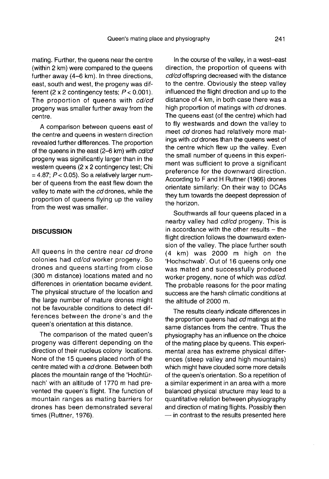mating. Further, the queens near the centre (within 2 km) were compared to the queens further away (4-6 km). In three directions, east, south and west, the progeny was different (2 x 2 contingency tests;  $P < 0.001$ ). The proportion of queens with cd/cd progeny was smaller further away from the centre.

A comparison between queens east of the centre and queens in western direction revealed further differences. The proportion of the queens in the east (2-6 km) with cd/cd progeny was significantly larger than in the western queens (2 x 2 contingency test; Chi  $= 4.87$ ;  $P < 0.05$ ). So a relatively larger number of queens from the east flew down the valley to mate with the cd drones, while the proportion of queens flying up the valley from the west was smaller.

### **DISCUSSION**

All queens in the centre near cd drone colonies had cd/cd worker progeny. So drones and queens starting from close (300 m distance) locations mated and no differences in orientation became evident. The physical structure of the location and the large number of mature drones might not be favourable conditions to detect differences between the drone's and the queen's orientation at this distance.

The comparison of the mated queen's progeny was different depending on the direction of their nucleus colony locations. None of the 15 queens placed north of the centre mated with a cd drone. Between both places the mountain range of the 'Hochtürnach' with an altitude of 1770 m had prevented the queen's flight. The function of mountain ranges as mating barriers for drones has been demonstrated several times (Ruttner, 1976).

In the course of the valley, in a west-east direction, the proportion of queens with cd/cd offspring decreased with the distance to the centre. Obviously the steep valley influenced the flight direction and up to the distance of 4 km, in both case there was a high proportion of matings with cd drones. The queens east (of the centre) which had to fly westwards and down the valley to meet cd drones had relatively more matings with cd drones than the queens west of the centre which flew up the valley. Even the small number of queens in this experi ment was sufficient to prove a significant preference for the downward direction. According to F and H Ruttner (1966) drones orientate similarly: On their way to DCAs they turn towards the deepest depression of the horizon.

Southwards all four queens placed in a nearby valley had cd/cd progeny. This is in accordance with the other results  $-$  the flight direction follows the downward extension of the valley. The place further south (4 km) was 2000 m high on the 'Hochschwab'. Out of 16 queens only one was mated and successfully produced worker progeny, none of which was cd/cd. The probable reasons for the poor mating success are the harsh climatic conditions at the altitude of 2000 m.

The results clearly indicate differences in the proportion queens had cd matings at the same distances from the centre. Thus the physiography has an influence on the choice of the mating place by queens. This experimental area has extreme physical differences (steep valley and high mountains) which might have clouded some more details of the queen's orientation. So a repetition of a similar experiment in an area with a more balanced physical structure may lead to a quantitative relation between physiography and direction of mating flights. Possibly then — in contrast to the results presented here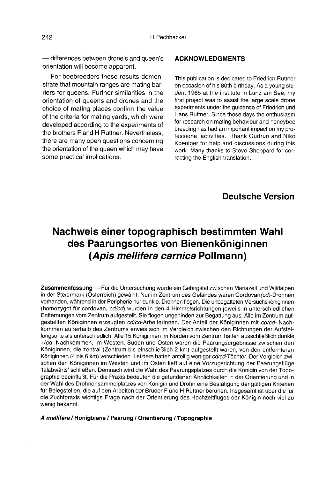— differences between drone's and queen's orientation will become apparent.

For beebreeders these results demonstrate that mountain ranges are mating barriers for queens. Further similarities in the orientation of queens and drones and the choice of mating places confirm the value of the criteria for mating yards, which were developed according to the experiments of the brothers F and H Ruttner. Nevertheless, there are many open questions concerning the orientation of the queen which may have some practical implications.

### ACKNOWLEDGMENTS

This publication is dedicated to Friedrich Ruttner on occasion of his 80th birthday. As a young student 1965 at the institute in Lunz am See, my first project was to assist the large scale drone experiments under the guidance of Friedrich und Hans Ruttner. Since those days the enthusiasm for research on mating behaviour and honeybee breeding has had an important impact on my professional activities. I thank Gudrun and Niko Koeniger for help and discussions during this work. Many thanks to Steve Sheppard for correcting the English translation.

### Deutsche Version

# Nachweis einer topographisch bestimmten Wahl des Paarungsortes von Bienenköniginnen (Apis mellifera carnica Pollmann)

Zusammenfassung — Für die Untersuchung wurde ein Gebirgstal zwischen Mariazell und Wildalpen in der Steiermark (Österreich) gewählt. Nur im Zentrum des Geländes waren Cordovan(cd)-Drohnen vorhanden, während in der Peripherie nur dunkle. Drohnen flogen. Die unbegatteten Versuchsköniginnen (homozygot für cordovan, cd/cd) wurden in den 4 Himmelsrichtungen jeweils in unterschiedlichen Entfernungen vom Zentrum aufgestellt. Sie flogen ungehindert zur Begattung aus. Alle im Zentrum aufgestellten Königinnen erzeugten cd/cd-Arbeiterinnen. Der Anteil der Königinnen mit cd/cd- Nachkommen außerhalb des Zentrums erwies sich im Vergleich zwischen den Richtungen der Aufstellungsorte als unterschiedlich. Alle 15 Königinnen im Norden vom Zentrum hatten ausschließlich dunkle +/cd- Nachkommen. Im Westen, Süden und Osten waren die Paarungsergebnisse zwischen den Königinnen, die zentral (Zentrum bis einschließlich 2 km) aufgestellt waren, von den entfernteren Königinnen (4 bis 6 km) verschieden. Letztere hatten anteilig weniger cd/cd-Töchter. Der Vergleich zwischen den Königinnen im Westen und im Osten ließ auf eine Vorzugsrichtung der Paarungsflüge 'talabwärts' schließen. Demnach wird die Wahl des Paarungsplatzes durch die Königin von der Topographie beeinflußt. Für die Praxis bedeuten die gefundenen Ähnlichkeiten in der Orientierung und in der Wahl des Drohnensammelplatzes von Königin und Drohn eine Bestätigung der gültigen Kriterien für Belegstellen, die auf den Arbeiten der Brüder F und H Ruttner beruhen. Insgesamt ist über die für die Zuchtpraxis wichtige Frage nach der Orientierung des Hochzeitfluges der Königin noch viel zu wenig bekannt.

A mellifera / Honigbiene / Paarung / Orientierung / Topographie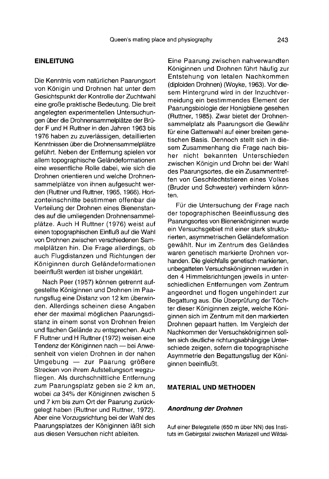### EINLEITUNG

Die Kenntnis vom natürlichen Paarungsort von Königin und Drohnen hat unter dem Gesichtspunkt der Kontrolle der Zuchtwahl eine große praktische Bedeutung. Die breit angelegten experimentellen Untersuchungen über die Drohnensammelplätze der Brüder F und H Ruttner in den Jahren 1963 bis 1976 haben zu zuverlässigen, detaillierten Kenntnissen über die Drohnensammelplätze geführt. Neben der Entfernung spielen vor allem topographische Geländeformationen eine wesentliche Rolle dabei, wie sich die Drohnen orientieren und welche Drohnensammelplätze von ihnen aufgesucht werden (Ruttner und Ruttner, 1965, 1966). Horizonteinschnitte bestimmen offenbar die Verteilung der Drohnen eines Bienenstandes auf die umliegenden Drohnensammelplätze. Auch H Ruttner (1976) weist auf einen topographischen Einfluß auf die Wahl von Drohnen zwischen verschiedenen Sammelplätzen hin. Die Frage allerdings, ob auch Flugdistanzen und Richtungen der Königinnen durch Geländeformationen beeinflußt werden ist bisher ungeklärt.

Nach Peer (1957) können getrennt aufgestellte Königinnen und Drohnen im Paarungsflug eine Distanz von 12 km überwinden. Allerdings scheinen diese Angaben eher der maximal möglichen Paarungsdistanz in einem sonst von Drohnen freien und flachen Gelände zu entsprechen. Auch F Ruttner und H Ruttner (1972) weisen eine Tendenz der Königinnen nach — bei Anwesenheit von vielen Drohnen in der nahen Umgebung — zur Paarung größere Strecken von ihrem Aufstellungsort wegzufliegen. Als durchschnittliche Entfernung zum Paarungsplatz geben sie 2 km an, wobei ca 34% der Königinnen zwischen 5 und 7 km bis zum Ort der Paarung zurückgelegt haben (Ruttner und Ruttner, 1972). Aber eine Vorzugsrichtung bei der Wahl des Paarungsplatzes der Königinnen läßt sich aus diesen Versuchen nicht ableiten.

Eine Paarung zwischen nahverwandten Königinnen und Drohnen führt häufig zur Entstehung von letalen Nachkommen (diploiden Drohnen) (Woyke, 1963). Vor diesem Hintergrund wird in der Inzuchtvermeidung ein bestimmendes Element der Paarungsbiologie der Honigbiene gesehen (Ruttner, 1985). Zwar bietet der Drohnensammelplatz als Paarungsort die Gewähr für eine Gattenwahl auf einer breiten genetischen Basis. Dennoch stellt sich in diesem Zusammenhang die Frage nach bisher nicht bekannten Unterschieden zwischen Königin und Drohn bei der Wahl des Paarungsortes, die ein Zusammentreffen von Geschlechtstieren eines Volkes (Bruder und Schwester) verhindern könnten.

Für die Untersuchung der Frage nach der topographischen Beeinflussung des Paarungsortes von Bienenköniginnen wurde ein Versuchsgebiet mit einer stark strukturierten, asymmetrischen Geländeformation gewählt. Nur im Zentrum des Geländes waren genetisch markierte Drohnen vorhanden. Die gleichfalls genetisch markierten, unbegatteten Versuchsköniginnen wurden in den 4 Himmelsrichtungen jeweils in unterschiedlichen Entfernungen vom Zentrum angeordnet und flogen ungehindert zur Begattung aus. Die Überprüfung der Töchter dieser Königinnen zeigte, welche Königinnen sich im Zentrum mit den markierten Drohnen gepaart hatten. Im Vergleich der Nachkommen der Versuchsköniginnen sollten sich deutliche richtungsabhängige Unterschiede zeigen, sofern die topographische Asymmetrie den Begattungsflug der Königinnen beeinflußt.

### MATERIAL UND METHODEN

#### Anordnung der Drohnen

Auf einer Belegstelle (650 m über NN) des Instituts im Gebirgstal zwischen Mariazell und Wildal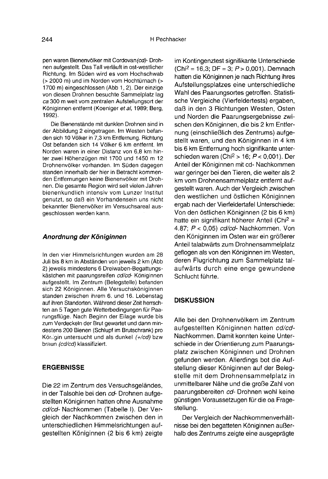pen waren Bienenvölker mit Cordovan (cd)- Drohnen aufgestellt. Das Tall verläuft in ost-westlicher Richtung. Im Süden wird es vom Hochschwab (> 2000 m) und im Norden vom Hochtürnach (> 1700 m) eingeschlossen (Abb 1, 2). Der einzige ca 300 m weit vom zentralen Aufstellungsort der Königinnen entfernt (Koeniger et al, 1989; Berg, 1992).

Die Bienenstände mit dunklen Drohnen sind in der Abbildung 2 eingetragen. Im Westen befanden sich 10 Völker in 7,3 km Entfernung. Richtung Ost befanden sich 14 Völker 6 km entfernt. Im Norden waren in einer Distanz von 6,8 km hinter zwei Höhenzügen mit 1700 und 1450 m 12 Drohnenvölker vorhanden. Im Süden dagegen standen innerhalb der hier in Betracht kommenden Entfernungen keine Bienenvölker mit Drohnen. Die gesamte Region wird seit vielen Jahren bienenkundlich intensiv vom Lunzer Institut genutzt, so daß ein Vorhandensein uns nicht bekannter Bienenvölker im Versuchsareal ausgeschlossen werden kann.

#### Anordnung der Königinnen

In den vier Himmelsrichtungen wurden am 28 Juli bis 8 km in Abständen von jeweils 2 km (Abb 2) jeweils mindestens 6 Dreiwaben-Begattungskästchen mit paarungsreifen cd/cd- Königinnen aufgestellt. Im Zentrum (Belegstelle) befanden sich 22 Königinnen. Alle Versuchsköniginnen standen zwischen ihrem 6. und 16. Lebenstag auf ihren Standorten. Während dieser Zeit herrschten an 5 Tagen gute Wetterbedingungen für Paarungsflüge. Nach Beginn der Eilage wurde bis zum Verdeckeln der Brut gewartet und dann mindestens 200 Bienen (Schlupf im Brutschrank) pro Königin untersucht und als dunkel (+/cd) bzw braun (cd/cd) klassifiziert.

### ERGEBNISSE

Die 22 im Zentrum des Versuchsgeländes, in der Talsohle bei den cd- Drohnen aufgestellten Königinnen hatten ohne Ausnahme cd/cd- Nachkommen (Tabelle I). Der Vergleich der Nachkommen zwischen den in unterschiedlichen Himmelsrichtungen aufgestellten Königinnen (2 bis 6 km) zeigte

im Kontingenztest signifikante Unterschiede H Pechhacker<br>Droh- im Kontingenztest signifikante Unterschiede<br><sup>licher</sup> (Chi<sup>2</sup> = 16,3; DF = 3; *P >* 0,001). Demnach hatten die Königinnen je nach Richtung ihres Aufstellungsplatzes eine unterschiedliche Wahl des Paarungsortes getroffen. Statistische Vergleiche (Vierfeldertests) ergaben, daß in den 3 Richtungen Westen, Osten und Norden die Paarungsergebnisse zwischen den Königinnen, die bis 2 km Entfernung (einschließlich des Zentrums) aufgestellt waren, und den Königinnen in 4 km bis 6 km Entfernung hoch signifikante unterschieden waren (Chi $^2$  > 16;  $P$  < 0,001). Der Anteil der Königinnen mit cd- Nachkommen war geringer bei den Tieren, die weiter als 2 km vom Drohnensammelplatz entfernt aufgestellt waren. Auch der Vergleich zwischen den westlichen und östlichen Königinnen ergab nach der Vierfeldertafel Unterschiede: ergab hach der vieneldenarer Onterschiede.<br>Von den östlichen Königinnen (2 bis 6 km)<br>hatte ein signifikant höherer Anteil (Chi<sup>2</sup> = 4.87; P < 0.05) cd/cd- Nachkommen. Von den Königinnen im Osten war ein größerer Anteil talabwärts zum Drohnensammelplatz geflogen als von den Königinnen im Westen, deren Flugrichtung zum Sammelplatz talaufwärts durch eine enge gewundene Schlucht führte.

### **DISKUSSION**

Alle bei den Drohnenvölkern im Zentrum aufgestellten Königinnen hatten cd/cd-Nachkommen. Damit konnten keine Unterschiede in der Orientierung zum Paarungsplatz zwischen Königinnen und Drohnen gefunden werden. Allerdings bot die Aufstellung dieser Königinnen auf der Belegstelle mit dem Drohnensammelplatz in unmittelbarer Nähe und die große Zahl von paarungsbereiten cd- Drohnen wohl keine günstigen Voraussetzugen für die oa Fragestellung.  $\mathbb{Z}^2$ 

Der Vergleich der Nachkommenverhältnisse bei den begatteten Königinnen außerhalb des Zentrums zeigte eine ausgeprägte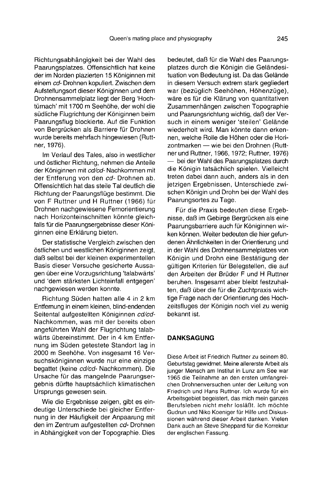Richtungsabhängigkeit bei der Wahl des Paarungsplatzes. Offensichtlich hat keine der im Norden plazierten 15 Königinnen mit einem cd- Drohnen kopuliert. Zwischen dem Aufstellungsort dieser Königinnen und dem Drohnensammelplatz liegt der Berg 'Hochtürnach' mit 1700 m Seehöhe, der wohl die südliche Flugrichtung der Königinnen beim Paarungsflug blockierte. Auf die Funktion von Bergrücken als Barriere für Drohnen wurde bereits mehrfach hingewiesen (Rutt ner, 1976).

Im Verlauf des Tales, also in westlicher und östlicher Richtung, nehmen die Anteile der Königinnen mit cd/cd-Nachkommen mit der Entferung von den cd- Drohnen ab. Offensichtlich hat das steile Tal deutlich die Richtung der Paarungsflüge bestimmt. Die von F Ruttner und H Ruttner (1966) für Drohnen nachgewiesene Fernorientierung nach Horizonteinschnitten könnte gleichfalls für die Paarungsergebnisse dieser Königinnen eine Erklärung bieten.

Der statistische Vergleich zwischen den östlichen und westlichen Königinnen zeigt, daß selbst bei der kleinen experimentellen Basis dieser Versuche gesicherte Aussagen über eine Vorzugsrichtung 'talabwärts' und 'dem stärksten Lichteinfall entgegen' nachgewiesen werden konnte.

Richtung Süden hatten alle 4 in 2 km Entfernung in einem kleinen, blind-endenden Seitental aufgestellten Königinnen cd/cd-Nachkommen, was mit der bereits oben angeführten Wahl der Flugrichtung talabwärts übereinstimmt. Der in 4 km Entfernung im Süden getestete Standort lag in 2000 m Seehöhe. Von insgesamt 16 Versuchsköniginnen wurde nur eine einzige begattet (keine cd/cd- Nachkommen). Die Ursache für das mangelnde Paarungsergebnis dürfte hauptsächlich klimatischen Ursprungs gewesen sein.

Wie die Ergebnisse zeigen, gibt es eindeutige Unterschiede bei gleicher Entfernung in der Häufigkeit der Anpaarung mit den im Zentrum aufgestellten cd- Drohnen in Abhängigkeit von der Topographie. Dies

bedeutet, daß für die Wahl des Paarungsplatzes durch die Königin die Geländesituation von Bedeutung ist. Da das Gelände in diesem Versuch extrem stark gegliedert war (bezüglich Seehöhen, Höhenzüge), wäre es für die Klärung von quantitativen Zusammenhängen zwischen Topographie und Paarungsrichtung wichtig, daß der Versuch in einem weniger 'steilen' Gelände wiederholt wird. Man könnte dann erkennen, welche Rolle die Höhen oder die Horizontmarken — wie bei den Drohnen (Ruttner und Ruttner, 1966, 1972; Ruttner, 1976) — bei der Wahl des Paarungsplatzes durch die Königin tatsächlich spielen. Vielleicht treten dabei dann auch, anders als in den jetzigen Ergebnissen, Unterschiede zwischen Königin und Drohn bei der Wahl des Paarungsortes zu Tage.

Für die Praxis bedeuten diese Ergebnisse, daß im Gebirge Bergrücken als eine Paarungsbarriere auch für Königinnen wirken können. Weiter bedeuten die hier gefundenen Ähnlichkeiten in der Orientierung und in der Wahl des Drohnensammelplatzes von Königin und Drohn eine Bestätigung der gültigen Kriterien für Belegstellen, die auf den Arbeiten der Brüder F und H Ruttner beruhen. Insgesamt aber bleibt festzuhalten, daß über die für die Zuchtpraxis wichtige Frage nach der Orientierung des Hochzeitsfluges der Königin noch viel zu wenig bekannt ist.

### DANKSAGUNG

Diese Arbeit ist Friedrich Ruttner zu seinem 80. Geburtstag gewidmet. Meine allererste Arbeit als junger Mensch am Institut in Lunz am See war 1965 die Teilnahme an den ersten umfangreichen Drohnenversuchen unter der Leitung von Friedrich und Hans Ruttner. Ich wurde für ein Arbeitsgebiet begeistert, das mich mein ganzes Berufsleben nicht mehr losläßt. Ich möchte Gudrun und Niko Koeniger für Hilfe und Diskussionen während dieser Arbeit danken. Vielen Dank auch an Steve Sheppard für die Korrektur der englischen Fassung.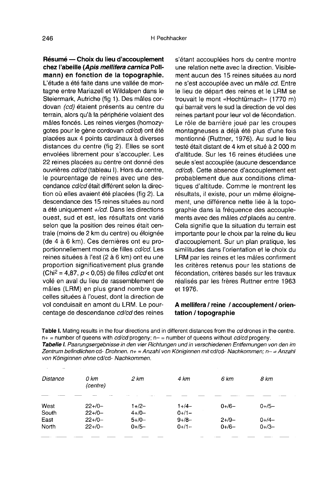Résumé — Choix du lieu d'accouplement chez l'abeille (Apis mellifera carnica Pollmann) en fonction de la topographie. L'étude a été faite dans une vallée de montagne entre Mariazell et Wildalpen dans le Steiermark, Autriche (fig 1). Des mâles cordovan (cd) étaient présents au centre du terrain, alors qu'à la périphérie volaient des mâles foncés. Les reines vierges (homozygotes pour le gène cordovan cd/cd) ont été placées aux 4 points cardinaux à diverses distances du centre (fig 2). Elles se sont envolées librement pour s'accoupler. Les 22 reines placées au centre ont donné des ouvrières cd/cd (tableau I). Hors du centre, le pourcentage de reines avec une descendance cd/cd était différent selon la direction où elles avaient été placées (fig 2). La descendance des 15 reines situées au nord a été uniquement  $+/cd$ . Dans les directions ouest, sud et est, les résultats ont varié selon que la position des reines était centrale (moins de 2 km du centre) ou éloignée (de 4 à 6 km). Ces dernières ont eu proportionnellement moins de filles cd/cd. Les reines situées à l'est (2 à 6 km) ont eu une proportion significativement plus grande (Chi<sup>2</sup> = 4,87,  $p < 0.05$ ) de filles *cd/cd* et ont volé en aval du lieu de rassemblement de mâles (LRM) en plus grand nombre que celles situées à l'ouest, dont la direction de vol conduisait en amont du LRM. Le pourcentage de descendance cd/cd des reines

s'étant accouplées hors du centre montre une relation nette avec la direction. Visiblement aucun des 15 reines situées au nord ne s'est accouplée avec un mâle cd. Entre le lieu de départ des reines et le LRM se trouvait le mont «Hochtürnach» (1770 m) qui barrait vers le sud la direction de vol des reines partant pour leur vol de fécondation. Le rôle de barrière joué par les croupes montagneuses a déjà été plus d'une fois mentionné (Ruttner, 1976). Au sud le lieu testé était distant de 4 km et situé à 2 000 m d'altitude. Sur les 16 reines étudiées une seule s'est accouplée (aucune descendance cd/cd). Cette absence d'accouplement est probablement due aux conditions climatiques d'altitude. Comme le montrent les résultats, il existe, pour un même éloignement, une différence nette liée à la topographie dans la fréquence des accouple ments avec des mâles cd placés au centre. Cela signifie que la situation du terrain est importante pour le choix par la reine du lieu d'accouplement. Sur un plan pratique, les similitudes dans l'orientation et le choix du LRM par les reines et les mâles confirment les critères retenus pour les stations de fécondation, critères basés sur les travaux réalisés par les frères Ruttner entre 1963 et 1976.

### A mellifera / reine / accouplement / orientation / topographie

Table I. Mating results in the four directions and in different distances from the cd drones in the centre.  $n+$  = number of queens with *cd/cd* progeny;  $n-$  = number of queens without *cd/cd* progeny. Tabelle I. Paarungsergebnisse in den vier Richtungen und in verschiedenen Entfernungen von den im Zentrum befindlichen cd- Drohnen.  $n_{\pm} =$  Anzahl von Königinnen mit cd/cd- Nachkommen;  $n_{\pm} =$  Anzahl von Königinnen ohne cd/cd- Nachkommen.

| Distance | 0 km<br>(centre) | 2 km        | 4 km       | 6 km    | 8 km     |
|----------|------------------|-------------|------------|---------|----------|
|          |                  |             |            |         |          |
| West     | $22+/0-$         | $1 + 2 -$   | $1+14-$    | $0+/-$  | $0+/-$   |
| South    | $22+/0-$         | $4 + 10 -$  | $0+/1-$    |         |          |
| East     | $22+/0-$         | $5 + / 0 -$ | $9 + 18 -$ | $2+/9-$ | $0+1/4-$ |
| North    | $22+/0-$         | $0+/-$      | $0+1-$     | $0+/-$  | $0+3-$   |
|          |                  |             |            |         |          |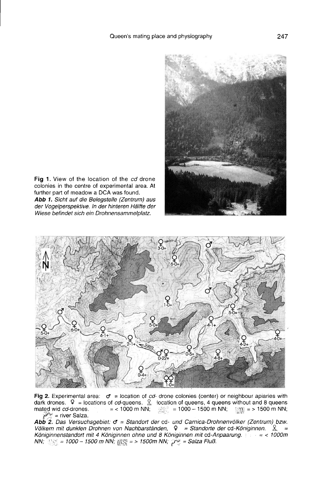

Fig 1. View of the location of the cd drone colonies in the centre of experimental area. At further part of meadow a DCA was found. Abb 1. Sicht auf die Belegstelle (Zentrum) aus der Vogelperspektive. In der hinteren Hälfte der Wiese befindet sich ein Drohnensammelplatz.



Fig 2. Experimental area:  $\sigma$  = location of *cd*- drone colonies (center) or neighbour apiaries with dark drones.  $\Omega$  = locations of *cd*-queens.  $\Omega$  location of queens, 4 queens without and 8 queens mated wid *cd*-dro  $P^*$  = river Salza.

Abb 2. Das Versuchsgebiet: o = Standort der cd- und Carnica-Drohnenvölker (Zentrum) bzw.<br>Völkern mit dunklen Drohnen von Nachbarständen, 9 = Standorte der cd-Königinnen.  $\Re$ , = Königinnenstandort mit 4 Königinnen ohne und 8 Königinnen mit cd-Anpaarung.<br>NN; sins = 1000 - 1500 m NN; sins = > 1500m NN;  $\mathcal{P}^2 =$  Salza Fluß.